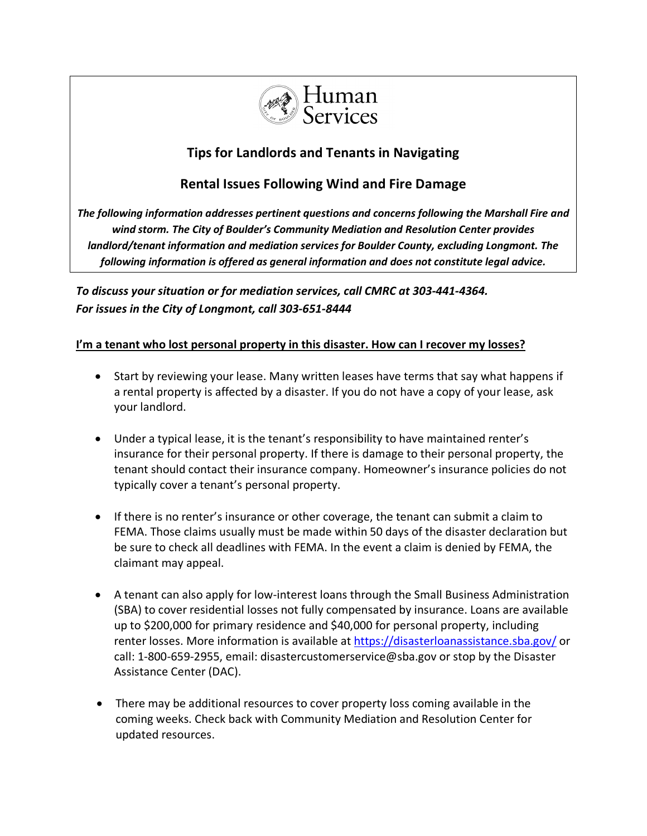

# **Tips for Landlords and Tenants in Navigating**

## **Rental Issues Following Wind and Fire Damage**

*The following information addresses pertinent questions and concerns following the Marshall Fire and wind storm. The City of Boulder's Community Mediation and Resolution Center provides landlord/tenant information and mediation services for Boulder County, excluding Longmont. The following information is offered as general information and does not constitute legal advice.* 

*To discuss your situation or for mediation services, call CMRC at 303-441-4364. For issues in the City of Longmont, call 303-651-8444*

## **I'm a tenant who lost personal property in this disaster. How can I recover my losses?**

- Start by reviewing your lease. Many written leases have terms that say what happens if a rental property is affected by a disaster. If you do not have a copy of your lease, ask your landlord.
- Under a typical lease, it is the tenant's responsibility to have maintained renter's insurance for their personal property. If there is damage to their personal property, the tenant should contact their insurance company. Homeowner's insurance policies do not typically cover a tenant's personal property.
- If there is no renter's insurance or other coverage, the tenant can submit a claim to FEMA. Those claims usually must be made within 50 days of the disaster declaration but be sure to check all deadlines with FEMA. In the event a claim is denied by FEMA, the claimant may appeal.
- A tenant can also apply for low-interest loans through the Small Business Administration (SBA) to cover residential losses not fully compensated by insurance. Loans are available up to \$200,000 for primary residence and \$40,000 for personal property, including renter losses. More information is available at [https://disasterloanassistance.sba.gov/](https://l.facebook.com/l.php?u=https%3A%2F%2Fdisasterloanassistance.sba.gov%2F%3Ffbclid%3DIwAR0_Lo08QVD6rEDL4WfQqxBv2vs1NnJh-nbUYGVCzHh7YhXAu1GkdAK9784&h=AT1Dks7XzGe3Rvql4XB3JnEi8T3rc7SqewiYYIqyj1IiGhi2xPrDp5XwpIercNQ4HoOJ5GcvpCDXtYKqv73cohBtgm3F8_Z6cTuGG_kb8JCZL4tiglRAODChERIvPHSSyJRb&__tn__=-UK-R&c%5b0%5d=AT1PKJYdAatahr_elaNIocSLEQjHNr7gHItwwj8I7a5zVezyA4vzKEzdOYQG0eSVV6e3SZ_h8Nd-cs68UnslI0p5c-MwUml5R_BWSYsb9CsVmOlPm7EqPMwX_Z7oEI7pQm-KcZ_XPnLMils3WjOynfj7SQ) or call: 1-800-659-2955, email: disastercustomerservice@sba.gov or stop by the Disaster Assistance Center (DAC).
- There may be additional resources to cover property loss coming available in the coming weeks. Check back with Community Mediation and Resolution Center for updated resources.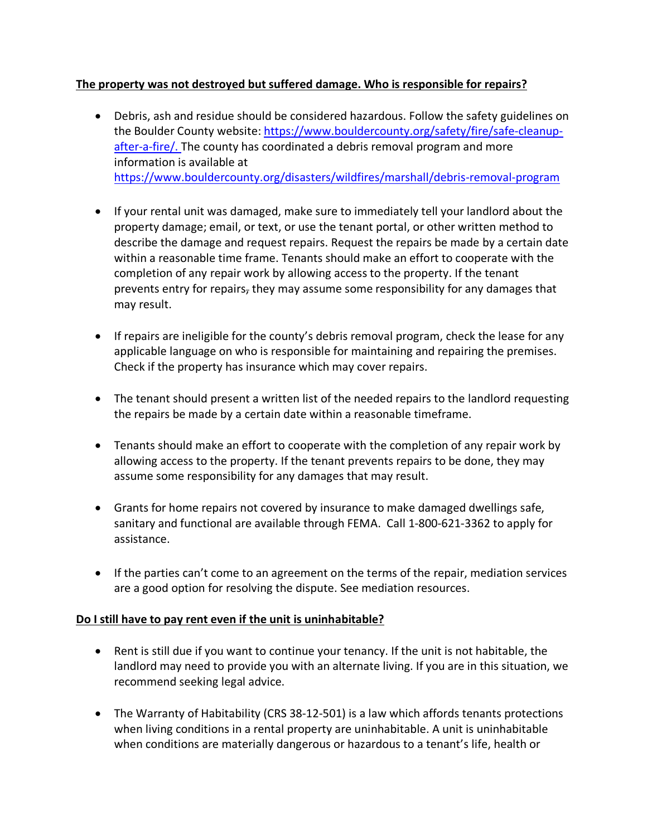## **The property was not destroyed but suffered damage. Who is responsible for repairs?**

- Debris, ash and residue should be considered hazardous. Follow the safety guidelines on the Boulder County website: [https://www.bouldercounty.org/safety/fire/safe-cleanup](https://www.bouldercounty.org/safety/fire/safe-cleanup-after-a-fire/)[after-a-fire/.](https://www.bouldercounty.org/safety/fire/safe-cleanup-after-a-fire/) The county has coordinated a debris removal program and more information is available at <https://www.bouldercounty.org/disasters/wildfires/marshall/debris-removal-program>
- If your rental unit was damaged, make sure to immediately tell your landlord about the property damage; email, or text, or use the tenant portal, or other written method to describe the damage and request repairs. Request the repairs be made by a certain date within a reasonable time frame. Tenants should make an effort to cooperate with the completion of any repair work by allowing access to the property. If the tenant prevents entry for repairs, they may assume some responsibility for any damages that may result.
- If repairs are ineligible for the county's debris removal program, check the lease for any applicable language on who is responsible for maintaining and repairing the premises. Check if the property has insurance which may cover repairs.
- The tenant should present a written list of the needed repairs to the landlord requesting the repairs be made by a certain date within a reasonable timeframe.
- Tenants should make an effort to cooperate with the completion of any repair work by allowing access to the property. If the tenant prevents repairs to be done, they may assume some responsibility for any damages that may result.
- Grants for home repairs not covered by insurance to make damaged dwellings safe, sanitary and functional are available through FEMA. Call 1-800-621-3362 to apply for assistance.
- If the parties can't come to an agreement on the terms of the repair, mediation services are a good option for resolving the dispute. See mediation resources.

## **Do I still have to pay rent even if the unit is uninhabitable?**

- Rent is still due if you want to continue your tenancy. If the unit is not habitable, the landlord may need to provide you with an alternate living. If you are in this situation, we recommend seeking legal advice.
- The Warranty of Habitability (CRS 38-12-501) is a law which affords tenants protections when living conditions in a rental property are uninhabitable. A unit is uninhabitable when conditions are materially dangerous or hazardous to a tenant's life, health or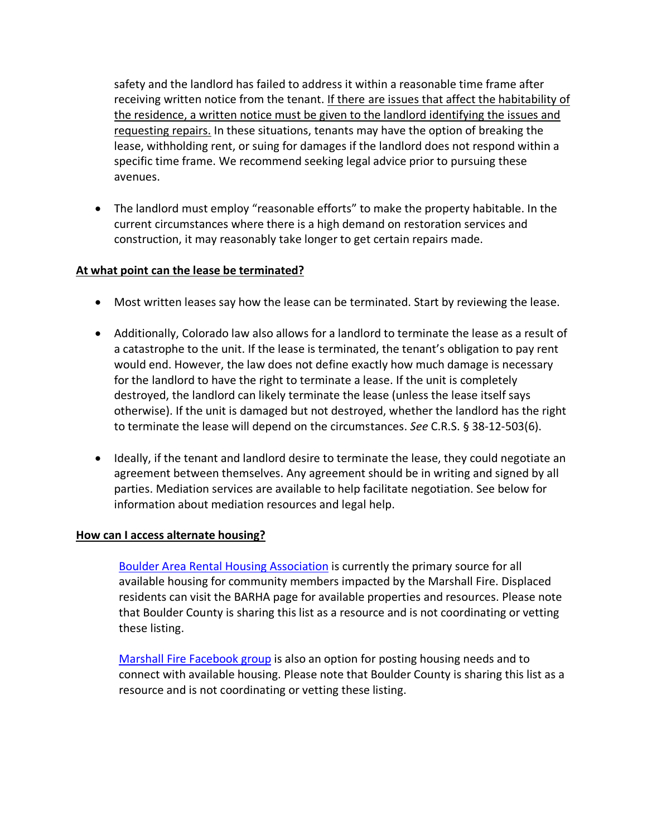safety and the landlord has failed to address it within a reasonable time frame after receiving written notice from the tenant. If there are issues that affect the habitability of the residence, a written notice must be given to the landlord identifying the issues and requesting repairs. In these situations, tenants may have the option of breaking the lease, withholding rent, or suing for damages if the landlord does not respond within a specific time frame. We recommend seeking legal advice prior to pursuing these avenues.

• The landlord must employ "reasonable efforts" to make the property habitable. In the current circumstances where there is a high demand on restoration services and construction, it may reasonably take longer to get certain repairs made.

#### **At what point can the lease be terminated?**

- Most written leases say how the lease can be terminated. Start by reviewing the lease.
- Additionally, Colorado law also allows for a landlord to terminate the lease as a result of a catastrophe to the unit. If the lease is terminated, the tenant's obligation to pay rent would end. However, the law does not define exactly how much damage is necessary for the landlord to have the right to terminate a lease. If the unit is completely destroyed, the landlord can likely terminate the lease (unless the lease itself says otherwise). If the unit is damaged but not destroyed, whether the landlord has the right to terminate the lease will depend on the circumstances. *See* C.R.S. § 38-12-503(6).
- Ideally, if the tenant and landlord desire to terminate the lease, they could negotiate an agreement between themselves. Any agreement should be in writing and signed by all parties. Mediation services are available to help facilitate negotiation. See below for information about mediation resources and legal help.

#### **How can I access alternate housing?**

[Boulder Area Rental Housing Association](https://www.barhaonline.org/available-properties-for-displaced-tenants/) is currently the primary source for all available housing for community members impacted by the Marshall Fire. Displaced residents can visit the BARHA page for available properties and resources. Please note that Boulder County is sharing this list as a resource and is not coordinating or vetting these listing.

[Marshall Fire Facebook group](https://www.facebook.com/groups/1966245370245354/?hoisted_section_header_type=recently_seen&multi_permalinks=1969991599870731) is also an option for posting housing needs and to connect with available housing. Please note that Boulder County is sharing this list as a resource and is not coordinating or vetting these listing.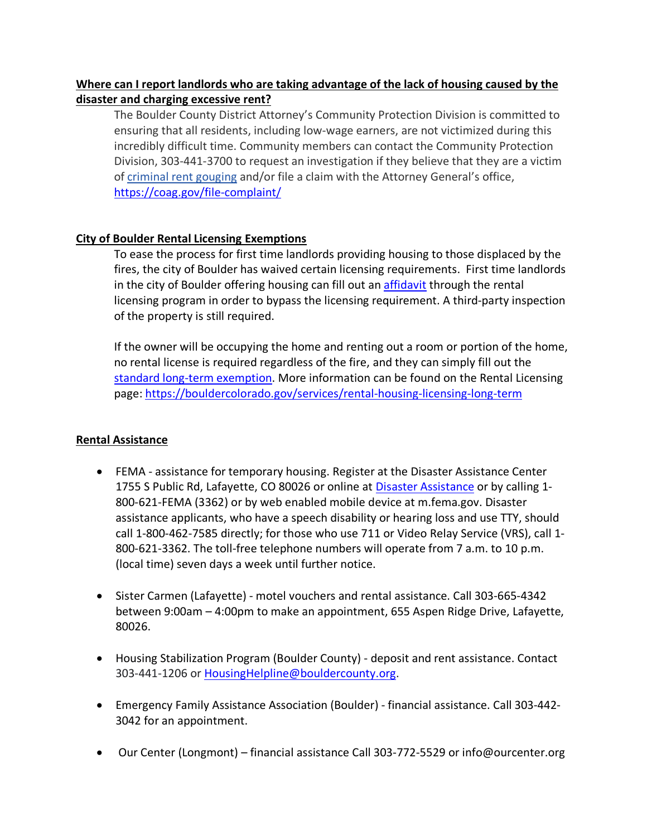## **Where can I report landlords who are taking advantage of the lack of housing caused by the disaster and charging excessive rent?**

The Boulder County District Attorney's Community Protection Division is committed to ensuring that all residents, including low-wage earners, are not victimized during this incredibly difficult time. Community members can contact the Community Protection Division, 303-441-3700 to request an investigation if they believe that they are a victim of [criminal](http://www.boco.org/CommunityProtection) rent gouging and/or file a claim with the Attorney General's office, <https://coag.gov/file-complaint/>

## **City of Boulder Rental Licensing Exemptions**

To ease the process for first time landlords providing housing to those displaced by the fires, the city of Boulder has waived certain licensing requirements. First time landlords in the city of Boulder offering housing can fill out an [affidavit](https://bouldercolorado.gov/emergency-order-rental-license-exemption-affidavit) through the rental licensing program in order to bypass the licensing requirement. A third-party inspection of the property is still required.

If the owner will be occupying the home and renting out a room or portion of the home, no rental license is required regardless of the fire, and they can simply fill out the [standard long-term exemption.](https://bouldercolorado.gov/long-term-rental-license-exemption-affidavit-relative-occupied-or-owner-occupied-long-term-tenant) More information can be found on the Rental Licensing page:<https://bouldercolorado.gov/services/rental-housing-licensing-long-term>

## **Rental Assistance**

- FEMA assistance for temporary housing. Register at the Disaster Assistance Center 1755 S Public Rd, Lafayette, CO 80026 or online at [Disaster Assistance](https://www.disasterassistance.gov/get-assistance/address-lookup?address=Boulder,%20CO&isMap=true.) or by calling 1- 800-621-FEMA (3362) or by web enabled mobile device at m.fema.gov. Disaster assistance applicants, who have a speech disability or hearing loss and use TTY, should call 1-800-462-7585 directly; for those who use 711 or Video Relay Service (VRS), call 1- 800-621-3362. The toll-free telephone numbers will operate from 7 a.m. to 10 p.m. (local time) seven days a week until further notice.
- Sister Carmen (Lafayette) motel vouchers and rental assistance. Call 303-665-4342 between 9:00am – 4:00pm to make an appointment, 655 Aspen Ridge Drive, Lafayette, 80026.
- Housing Stabilization Program (Boulder County) deposit and rent assistance. Contact 303-441-1206 or [HousingHelpline@bouldercounty.org.](mailto:HousingHelpline@bouldercounty.org)
- Emergency Family Assistance Association (Boulder) financial assistance. Call 303-442- 3042 for an appointment.
- Our Center (Longmont) financial assistance Call 303-772-5529 or info@ourcenter.org